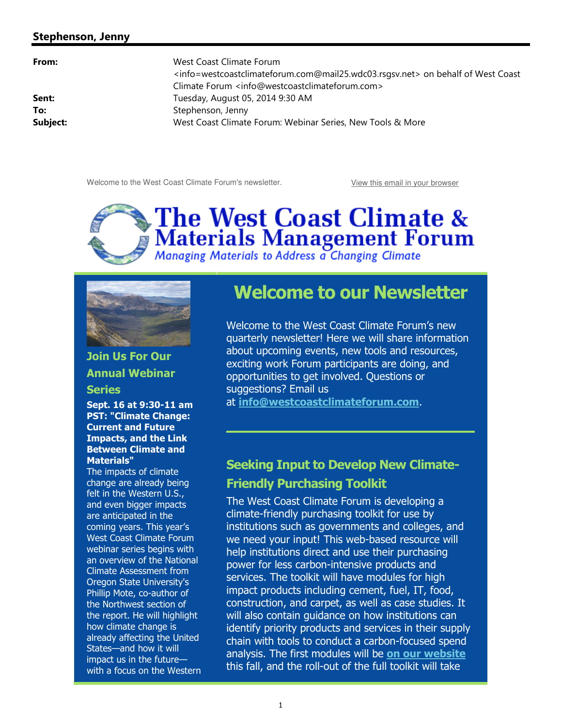#### Stephenson, Jenny

**From:** West Coast Climate Forum <info=westcoastclimateforum.com@mail25.wdc03.rsgsv.net> on behalf of West Coast Climate Forum <info@westcoastclimateforum.com> **Sent:** Tuesday, August 05, 2014 9:30 AM To: Stephenson, Jenny Subject: **WEST COAST COAST COAST CLIMATE FOR SERVIES** MOTE SERVIES A MOTE SERVIES ON MOTE SERVIES ON ME SERVIES

Welcome to the West Coast Climate Forum's newsletter. The View this email in your browser





Join Us For Our Annual Webinar

#### **Series**

Sept. 16 at 9:30-11 am PST: "Climate Change: Current and Future Impacts, and the Link Between Climate and Materials"

The impacts of climate change are already being felt in the Western U.S., and even bigger impacts are anticipated in the coming years. This year's West Coast Climate Forum webinar series begins with an overview of the National Climate Assessment from Oregon State University's Phillip Mote, co-author of the Northwest section of the report. He will highlight how climate change is already affecting the United States—and how it will impact us in the future with a focus on the Western

# Welcome to our Newsletter

Welcome to the West Coast Climate Forum's new quarterly newsletter! Here we will share information about upcoming events, new tools and resources, exciting work Forum participants are doing, and opportunities to get involved. Questions or suggestions? Email us

at info@westcoastclimateforum.com.

### Seeking Input to Develop New Climate-Friendly Purchasing Toolkit

The West Coast Climate Forum is developing a climate-friendly purchasing toolkit for use by institutions such as governments and colleges, and we need your input! This web-based resource will help institutions direct and use their purchasing power for less carbon-intensive products and services. The toolkit will have modules for high impact products including cement, fuel, IT, food, construction, and carpet, as well as case studies. It will also contain guidance on how institutions can identify priority products and services in their supply chain with tools to conduct a carbon-focused spend analysis. The first modules will be on our website this fall, and the roll-out of the full toolkit will take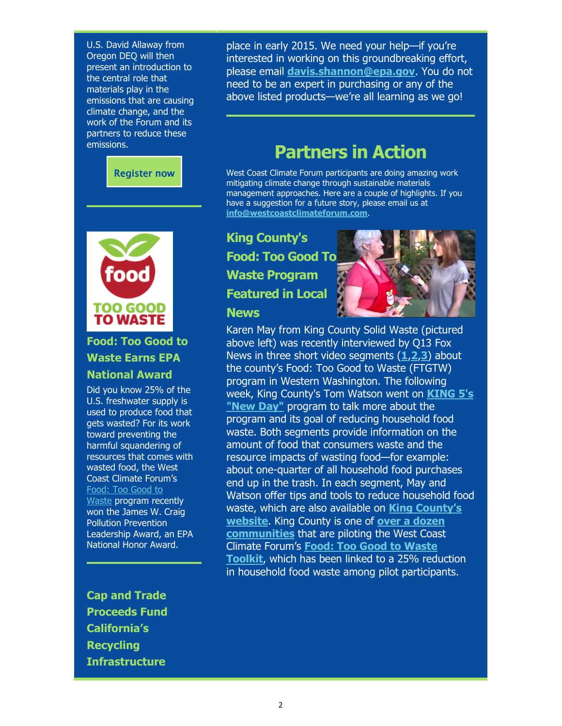U.S. David Allaway from Oregon DEQ will then present an introduction to the central role that materials play in the emissions that are causing climate change, and the work of the Forum and its partners to reduce these emissions.





### Food: Too Good to Waste Earns EPA National Award

Did you know 25% of the U.S. freshwater supply is used to produce food that gets wasted? For its work toward preventing the harmful squandering of resources that comes with wasted food, the West Coast Climate Forum's Food: Too Good to Waste program recently won the James W. Craig Pollution Prevention Leadership Award, an EPA National Honor Award.

place in early 2015. We need your help—if you're interested in working on this groundbreaking effort, please email davis.shannon@epa.gov. You do not need to be an expert in purchasing or any of the above listed products—we're all learning as we go!

# Partners in Action

West Coast Climate Forum participants are doing amazing work mitigating climate change through sustainable materials management approaches. Here are a couple of highlights. If you have a suggestion for a future story, please email us at info@westcoastclimateforum.com.

## King County's Food: Too Good To Waste Program Featured in Local **News**



Karen May from King County Solid Waste (pictured above left) was recently interviewed by Q13 Fox News in three short video segments  $(1,2,3)$  about the county's Food: Too Good to Waste (FTGTW) program in Western Washington. The following week, King County's Tom Watson went on KING 5's "New Day" program to talk more about the program and its goal of reducing household food waste. Both segments provide information on the amount of food that consumers waste and the resource impacts of wasting food—for example: about one-quarter of all household food purchases end up in the trash. In each segment, May and Watson offer tips and tools to reduce household food waste, which are also available on **King County's** website. King County is one of over a dozen communities that are piloting the West Coast Climate Forum's Food: Too Good to Waste Toolkit, which has been linked to a 25% reduction in household food waste among pilot participants.

Cap and Trade Proceeds Fund California's Recycling **Infrastructure**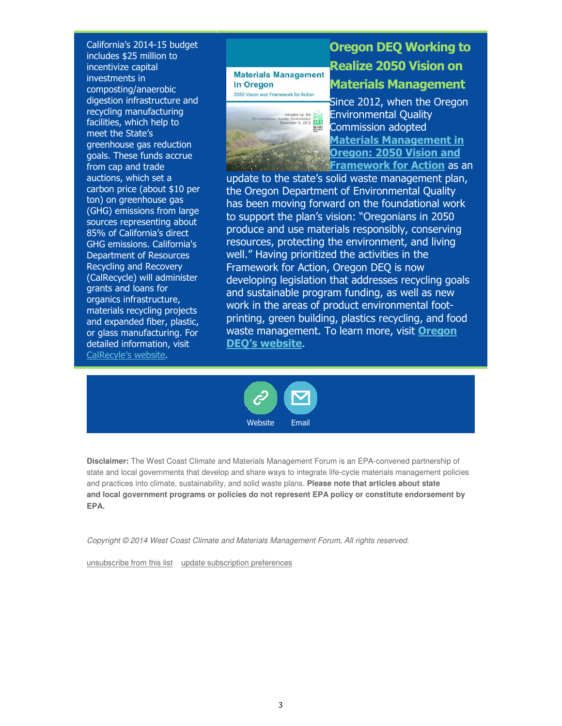California's 2014-15 budget includes \$25 million to incentivize capital investments in composting/anaerobic digestion infrastructure and recycling manufacturing facilities, which help to meet the State's greenhouse gas reduction goals. These funds accrue from cap and trade auctions, which set a carbon price (about \$10 per ton) on greenhouse gas (GHG) emissions from large sources representing about 85% of California's direct GHG emissions. California's Department of Resources Recycling and Recovery (CalRecycle) will administer grants and loans for organics infrastructure, materials recycling projects and expanded fiber, plastic, or glass manufacturing. For detailed information, visit CalRecyle's website.



 $\mathbf{1}$  ,  $\mathbf{1}$  ,  $\mathbf{1}$  ,  $\mathbf{1}$  ,  $\mathbf{1}$ 

# Oregon DEQ Working to Realize 2050 Vision on

### Materials Management

Since 2012, when the Oregon Environmental Quality Commission adopted Materials Management in Oregon: 2050 Vision and Framework for Action as an

update to the state's solid waste management plan, the Oregon Department of Environmental Quality has been moving forward on the foundational work to support the plan's vision: "Oregonians in 2050 produce and use materials responsibly, conserving resources, protecting the environment, and living well." Having prioritized the activities in the Framework for Action, Oregon DEQ is now developing legislation that addresses recycling goals and sustainable program funding, as well as new work in the areas of product environmental footprinting, green building, plastics recycling, and food waste management. To learn more, visit **Oregon** DEQ's website.



**Disclaimer:** The West Coast Climate and Materials Management Forum is an EPA-convened partnership of state and local governments that develop and share ways to integrate life-cycle materials management policies and practices into climate, sustainability, and solid waste plans. **Please note that articles about state and local government programs or policies do not represent EPA policy or constitute endorsement by EPA.**

Copyright © 2014 West Coast Climate and Materials Management Forum, All rights reserved.

unsubscribe from this list update subscription preferences